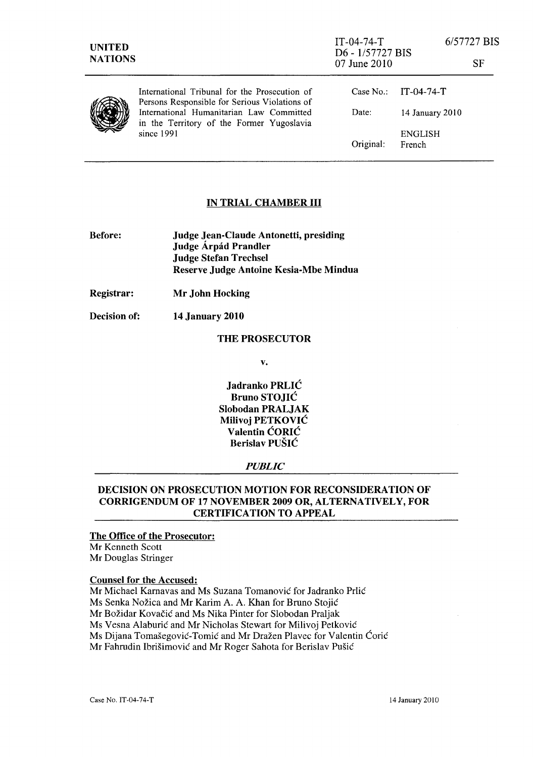| <b>UNITED</b><br><b>NATIONS</b> |                                                                                                | $IT-04-74-T$<br>D6 - 1/57727 BIS<br>07 June 2010 |                        | 6/57727 BIS<br>SF |
|---------------------------------|------------------------------------------------------------------------------------------------|--------------------------------------------------|------------------------|-------------------|
|                                 | International Tribunal for the Prosecution of<br>Persons Responsible for Serious Violations of |                                                  | Case No.: $IT-04-74-T$ |                   |
|                                 | International Humanitarian Law Committed<br>in the Territory of the Former Yugoslavia          | Date:                                            | 14 January 2010        |                   |
|                                 | since 1991                                                                                     | Original:                                        | ENGLISH<br>French      |                   |

#### IN TRIAL CHAMBER III

- Before: Judge Jean-Claude Antonetti, presiding Judge Árpád Prandler Judge Stefan Trechsel Reserve Judge Antoine Kesia-Mbe Mindua
- Registrar: Mr John Hocking

Decision of: 14 January 2010

#### THE PROSECUTOR

v.

Jadranko PRLIC Bruno STOJIC Slobodan PRALJAK Milivoj PETKOVIC Valentin CORIC Berislav PUSIC

#### *PUBLIC*

# DECISION ON PROSECUTION MOTION FOR RECONSIDERATION OF CORRIGENDUM OF 17 NOVEMBER 2009 OR, ALTERNATIVELY, FOR CERTIFICATION TO APPEAL

## The Office of the Prosecutor:

Mr Kenneth Scott Mr Douglas Stringer

#### Counsel for the Accused:

Mr Michael Karnavas and Ms Suzana Tomanović for Jadranko Prlić

Ms Senka Nozica and Mr Karim A. A. Khan for Bruno Stojic

Mr Božidar Kovačić and Ms Nika Pinter for Slobodan Praljak

Ms Vesna Alaburic and Mr Nicholas Stewart for Milivoj Petkovic

Ms Dijana Tomašegović-Tomić and Mr Dražen Plavec for Valentin Ćorić

Mr Fahrudin Ibrisimovic and Mr Roger Sahota for Berislav Pusic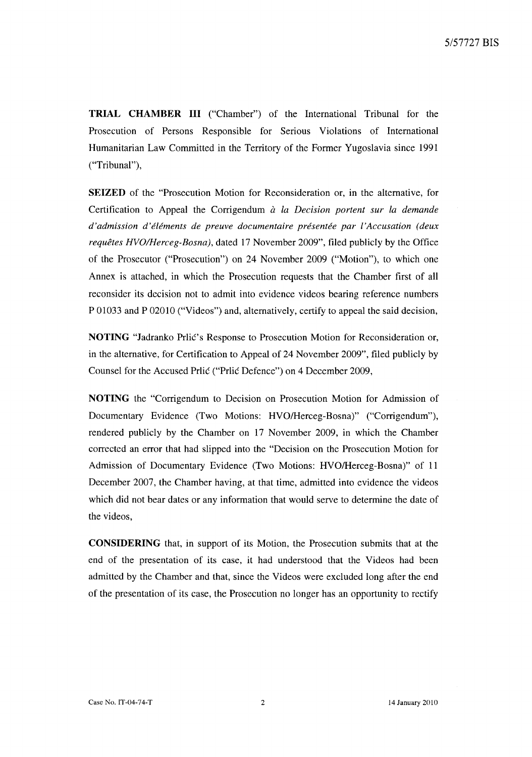**TRIAL CHAMBER III** ("Chamber") of the International Tribunal for the Prosecution of Persons Responsible for Serious Violations of International Humanitarian Law Committed in the Territory of the Former Yugoslavia since 1991 ("Tribunal"),

**SEIZED** of the "Prosecution Motion for Reconsideration or, in the alternative, for Certification to Appeal the Corrigendum *à la Decision portent sur la demande d'admission d'eiements de preuve documentaire presentee par i'Accusation (deux requetes HVOIHerceg-Bosna),* dated 17 November 2009", filed publicly by the Office of the Prosecutor ("Prosecution") on 24 November 2009 ("Motion"), to which one Annex is attached, in which the Prosecution requests that the Chamber first of all reconsider its decision not to admit into evidence videos bearing reference numbers P 01033 and P 02010 ("Videos") and, alternatively, certify to appeal the said decision,

**NOTING** "Jadranko Prlic's Response to Prosecution Motion for Reconsideration or, in the alternative, for Certification to Appeal of 24 November 2009", filed publicly by Counsel for the Accused Prlic ("Prlic Defence") on 4 December 2009,

**NOTING** the "Corrigendum to Decision on Prosecution Motion for Admission of Documentary Evidence (Two Motions: HVO/Herceg-Bosna)" ("Corrigendum"), rendered publicly by the Chamber on 17 November 2009, in which the Chamber corrected an error that had slipped into the "Decision on the Prosecution Motion for Admission of Documentary Evidence (Two Motions: HVO/Herceg-Bosna)" of 11 December 2007, the Chamber having, at that time, admitted into evidence the videos which did not bear dates or any information that would serve to determine the date of the videos,

**CONSIDERING** that, in support of its Motion, the Prosecution submits that at the end of the presentation of its case, it had understood that the Videos had been admitted by the Chamber and that, since the Videos were excluded long after the end of the presentation of its case, the Prosecution no longer has an opportunity to rectify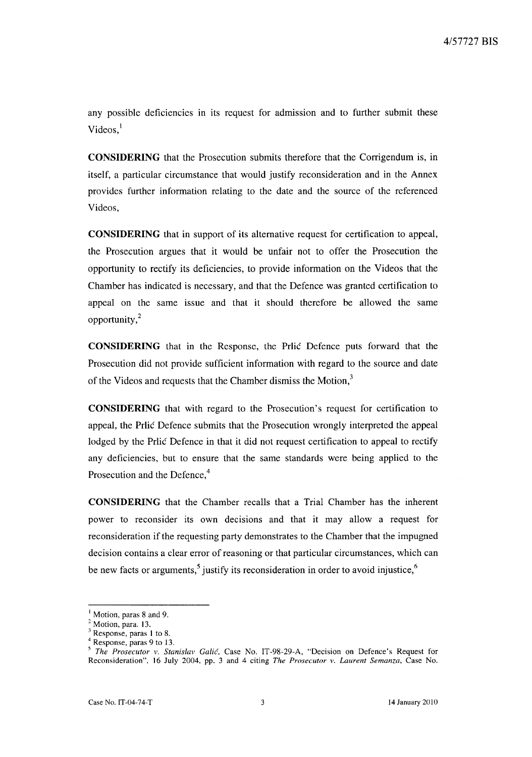any possible deficiencies in its request for admission and to further submit these Videos, $<sup>1</sup>$ </sup>

**CONSIDERING** that the Prosecution submits therefore that the Corrigendum is, in itself, a particular circumstance that would justify reconsideration and in the Annex provides further information relating to the date and the source of the referenced Videos,

**CONSIDERING** that in support of its alternative request for certification to appeal, the Prosecution argues that it would be unfair not to offer the Prosecution the opportunity to rectify its deficiencies, to provide information on the Videos that the Chamber has indicated is necessary, and that the Defence was granted certification to appeal on the same issue and that it should therefore be allowed the same opportunity,<sup>2</sup>

**CONSIDERING** that in the Response, the Prlic Defence puts forward that the Prosecution did not provide sufficient information with regard to the source and date of the Videos and requests that the Chamber dismiss the Motion,<sup>3</sup>

**CONSIDERING** that with regard to the Prosecution's request for certification to appeal, the Prlic Defence submits that the Prosecution wrongly interpreted the appeal lodged by the Prlic Defence in that it did not request certification to appeal to rectify any deficiencies, but to ensure that the same standards were being applied to the Prosecution and the Defence,<sup>4</sup>

**CONSIDERING** that the Chamber recalls that a Trial Chamber has the inherent power to reconsider its own decisions and that it may allow a request for reconsideration if the requesting party demonstrates to the Chamber that the impugned decision contains a clear error of reasoning or that particular circumstances, which can be new facts or arguments,<sup>5</sup> justify its reconsideration in order to avoid injustice,<sup>6</sup>

<sup>&</sup>lt;sup>1</sup> Motion, paras 8 and 9.

<sup>&</sup>lt;sup>2</sup> Motion, para. 13.

 $3$  Response, paras 1 to 8.

<sup>4</sup> Response, paras 9 to 13.

*<sup>5</sup> The Prosecutor v. Stanislav Calic,* Case No. IT-98-29-A, "Decision on Defence's Request for Reconsideration", 16 July 2004, pp. 3 and 4 citing *The Prosecutor v. Laurent Semanza,* Case No.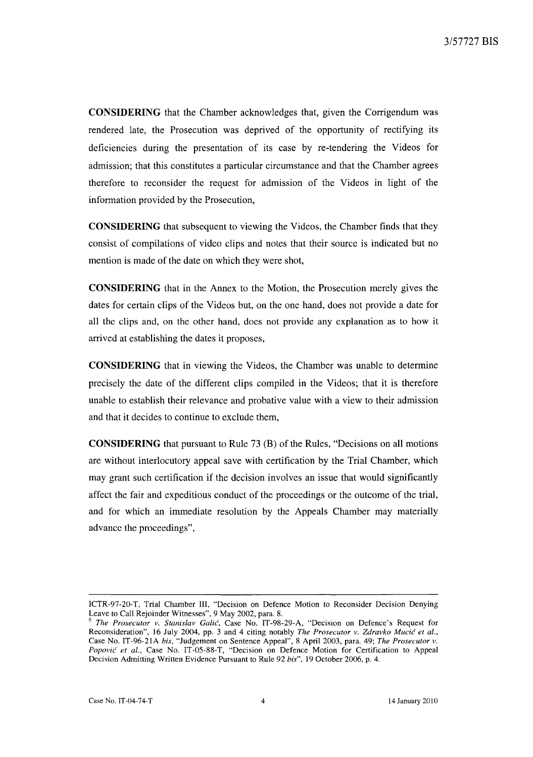**CONSIDERING** that the Chamber acknowledges that, given the Corrigendum was rendered late, the Prosecution was deprived of the opportunity of rectifying its deficiencies during the presentation of its case by re-tendering the Videos for admission; that this constitutes a particular circumstance and that the Chamber agrees therefore to reconsider the request for admission of the Videos in light of the information provided by the Prosecution,

**CONSIDERING** that subsequent to viewing the Videos, the Chamber finds that they consist of compilations of video clips and notes that their source is indicated but no mention is made of the date on which they were shot,

**CONSIDERING** that in the Annex to the Motion, the Prosecution merely gives the dates for certain clips of the Videos but, on the one hand, does not provide a date for all the clips and, on the other hand, does not provide any explanation as to how it arrived at establishing the dates it proposes,

**CONSIDERING** that in viewing the Videos, the Chamber was unable to determine precisely the date of the different clips compiled in the Videos; that it is therefore unable to establish their relevance and probative value with a view to their admission and that it decides to continue to exclude them,

**CONSIDERING** that pursuant to Rule 73 (B) of the Rules, "Decisions on all motions are without interlocutory appeal save with certification by the Trial Chamber, which may grant such certification if the decision involves an issue that would significantly affect the fair and expeditious conduct of the proceedings or the outcome of the trial, and for which an immediate resolution by the Appeals Chamber may materially advance the proceedings",

ICTR-97-20-T, Trial Chamber Ill, "Decision on Defence Motion to Reconsider Decision Denying Leave to Call Rejoinder Witnesses", 9 May 2002, para. 8.

<sup>6</sup>*The Prosecutor v. Stanislav Galicf,* Case No. IT-98-29-A, "Decision on Defence's Request for Reconsideration", 16 July 2004, pp. 3 and 4 citing notably *The Prosecutor v. Zdravko Mucic et al.,*  Case No. IT-96-21A *his,* "Judgement on Sentence Appeal", 8 April 2003, para. 49; *The Prosecutor v. Popovic et al.,* Case No. IT-05-88-T, "Decision on Defence Motion for Certification to Appeal Decision Admitting Written Evidence Pursuant to Rule 92 *his",* 19 October 2006, p. 4.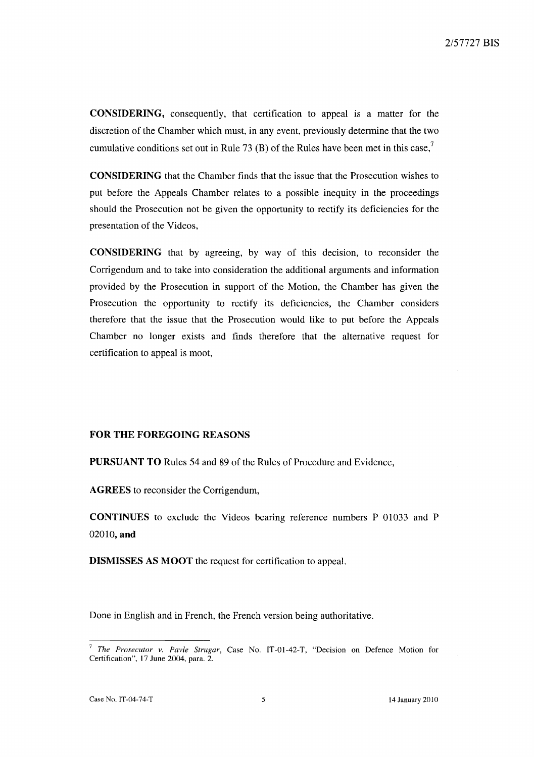CONSIDERING, consequently, that certification to appeal is a matter for the discretion of the Chamber which must, in any event, previously determine that the two cumulative conditions set out in Rule 73 (B) of the Rules have been met in this case,<sup>7</sup>

CONSIDERING that the Chamber finds that the issue that the Prosecution wishes to put before the Appeals Chamber relates to a possible inequity in the proceedings should the Prosecution not be given the opportunity to rectify its deficiencies for the presentation of the Videos,

CONSIDERING that by agreeing, by way of this decision, to reconsider the Corrigendum and to take into consideration the additional arguments and information provided by the Prosecution in support of the Motion, the Chamber has given the Prosecution the opportunity to rectify its deficiencies, the Chamber considers therefore that the issue that the Prosecution would like to put before the Appeals Chamber no longer exists and finds therefore that the alternative request for certification to appeal is moot,

## FOR THE FOREGOING REASONS

PURSUANT TO Rules 54 and 89 of the Rules of Procedure and Evidence,

AGREES to reconsider the Corrigendum,

CONTINUES to exclude the Videos bearing reference numbers P 01033 and P 02010, and

DISMISSES AS MOOT the request for certification to appeal.

Done in English and in French, the French version being authoritative.

<sup>7</sup>*The Prosecutor v. Pavle Strugar,* Case No. IT-OI-42-T, "Decision on Defence Motion for Certification". 17 June 2004, para. 2.